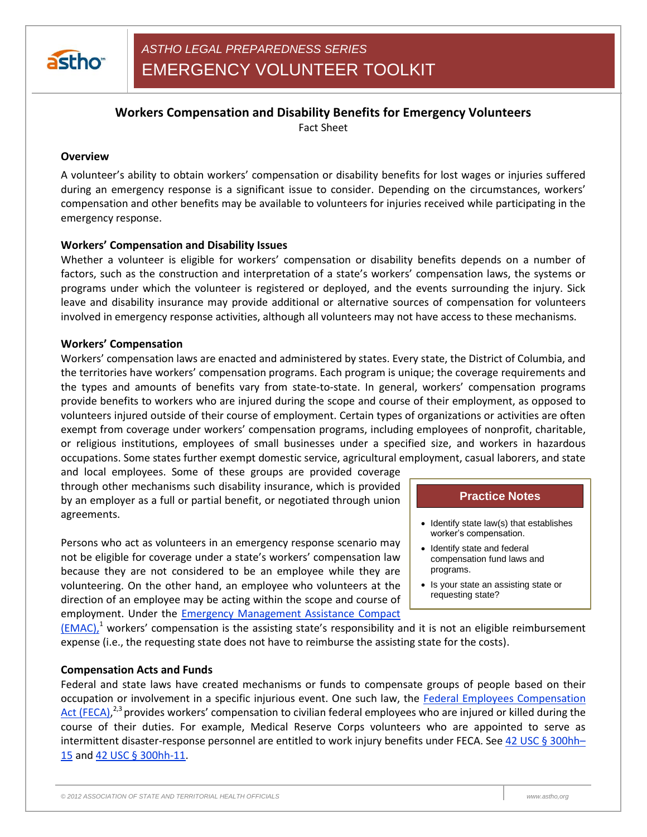

# **Workers Compensation and Disability Benefits for Emergency Volunteers**

Fact Sheet

### **Overview**

A volunteer's ability to obtain workers' compensation or disability benefits for lost wages or injuries suffered during an emergency response is a significant issue to consider. Depending on the circumstances, workers' compensation and other benefits may be available to volunteers for injuries received while participating in the emergency response.

# **Workers' Compensation and Disability Issues**

Whether a volunteer is eligible for workers' compensation or disability benefits depends on a number of factors, such as the construction and interpretation of a state's workers' compensation laws, the systems or programs under which the volunteer is registered or deployed, and the events surrounding the injury. Sick leave and disability insurance may provide additional or alternative sources of compensation for volunteers involved in emergency response activities, although all volunteers may not have access to these mechanisms.

#### **Workers' Compensation**

Workers' compensation laws are enacted and administered by states. Every state, the District of Columbia, and the territories have workers' compensation programs. Each program is unique; the coverage requirements and the types and amounts of benefits vary from state-to-state. In general, workers' compensation programs provide benefits to workers who are injured during the scope and course of their employment, as opposed to volunteers injured outside of their course of employment. Certain types of organizations or activities are often exempt from coverage under workers' compensation programs, including employees of nonprofit, charitable, or religious institutions, employees of small businesses under a specified size, and workers in hazardous occupations. Some states further exempt domestic service, agricultural employment, casual laborers, and state

and local employees. Some of these groups are provided coverage through other mechanisms such disability insurance, which is provided by an employer as a full or partial benefit, or negotiated through union agreements.

Persons who act as volunteers in an emergency response scenario may not be eligible for coverage under a state's workers' compensation law because they are not considered to be an employee while they are volunteering. On the other hand, an employee who volunteers at the direction of an employee may be acting within the scope and course of employment. Under the [Emergency Management Assistance Compact](http://www.emacweb.org/)

# **Practice Notes**

- $\bullet$  Identify state law(s) that establishes worker's compensation.
- Identify state and federal compensation fund laws and programs.
- Is your state an assisting state or requesting state?

 $(EMAC)<sup>1</sup>$  workers' compensation is the assisting state's responsibility and it is not an eligible reimbursement</u> expense (i.e., the requesting state does not have to reimburse the assisting state for the costs).

#### **Compensation Acts and Funds**

Federal and state laws have created mechanisms or funds to compensate groups of people based on their occupation or involvement in a specific injurious event. One such law, the [Federal Employees Compensation](http://www.dol.gov/compliance/laws/comp-feca.htm#.UJ2-Ic26SuI.)  [Act \(FECA\),](http://www.dol.gov/compliance/laws/comp-feca.htm#.UJ2-Ic26SuI.)<sup>2,3</sup> provides workers' compensation to civilian federal employees who are injured or killed during the course of their duties. For example, Medical Reserve Corps volunteers who are appointed to serve as intermittent disaster-response personnel are entitled to work injury benefits under FECA. See [42 USC § 300hh](http://www.law.cornell.edu/uscode/text/42/300hh-15)-[15](http://www.law.cornell.edu/uscode/text/42/300hh-15) and 42 USC § [300hh-11.](http://www.law.cornell.edu/uscode/text/42/300hh-11)